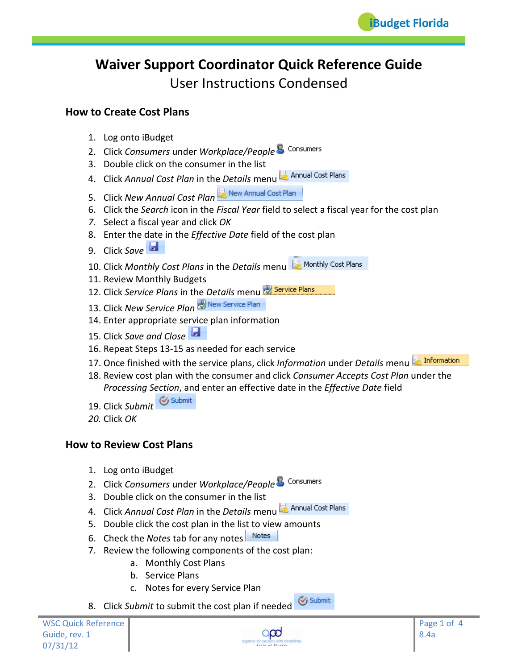# **Waiver Support Coordinator Quick Reference Guide** User Instructions Condensed

## **How to Create Cost Plans**

- 1. Log onto iBudget
- 2. Click *Consumers* under *Workplace/People*
- 3. Double click on the consumer in the list
- 4. Click *Annual Cost Plan* in the *Details* menu
- 5. Click *New Annual Cost Plan*
- 6. Click the *Search* icon in the *Fiscal Year* field to select a fiscal year for the cost plan
- *7.* Select a fiscal year and click *OK*
- 8. Enter the date in the *Effective Date* field of the cost plan
- 9. Click *Save*
- 10. Click *Monthly Cost Plans* in the *Details* menu
- 11. Review Monthly Budgets
- 12. Click *Service Plans* in the *Details* menu
- 13. Click *New Service Plan*
- 14. Enter appropriate service plan information
- 15. Click *Save and Close*
- 16. Repeat Steps 13-15 as needed for each service
- $\blacksquare$  Information 17. Once finished with the service plans, click *Information* under *Details* menu
- 18. Review cost plan with the consumer and click *Consumer Accepts Cost Plan* under the *Processing Section*, and enter an effective date in the *Effective Date* field
- 19. Click Submit & Submit
- *20.* Click *OK*

# **How to Review Cost Plans**

- 1. Log onto iBudget
- 2. Click *Consumers* under *Workplace/People*
- 3. Double click on the consumer in the list
- 4. Click *Annual Cost Plan* in the *Details* menu
- 5. Double click the cost plan in the list to view amounts
- 6. Check the *Notes* tab for any notes
- 7. Review the following components of the cost plan:
	- a. Monthly Cost Plans
	- b. Service Plans
	- c. Notes for every Service Plan
- 8. Click *Submit* to submit the cost plan if needed  $\circled{c}$  Submit

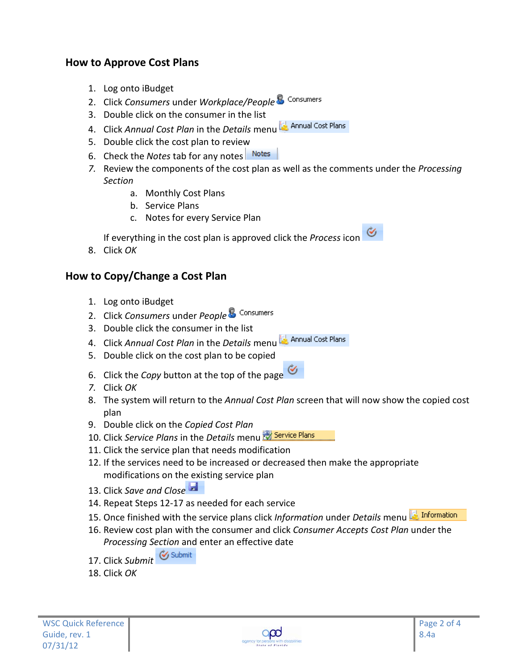# **How to Approve Cost Plans**

- 1. Log onto iBudget
- 2. Click *Consumers* under *Workplace/People*
- 3. Double click on the consumer in the list
- 4. Click *Annual Cost Plan* in the *Details* menu
- 5. Double click the cost plan to review
- 6. Check the *Notes* tab for any notes
- *7.* Review the components of the cost plan as well as the comments under the *Processing Section*
	- a. Monthly Cost Plans
	- b. Service Plans
	- c. Notes for every Service Plan

ℭ If everything in the cost plan is approved click the *Process* icon

8. Click *OK*

## **How to Copy/Change a Cost Plan**

- 1. Log onto iBudget
- 2. Click *Consumers* under *People*
- 3. Double click the consumer in the list
- 4. Click *Annual Cost Plan* in the *Details* menu
- 5. Double click on the cost plan to be copied
- 6. Click the *Copy* button at the top of the page
- *7.* Click *OK*
- 8. The system will return to the *Annual Cost Plan* screen that will now show the copied cost plan
- 9. Double click on the *Copied Cost Plan*
- 10. Click *Service Plans* in the *Details* menu
- 11. Click the service plan that needs modification
- 12. If the services need to be increased or decreased then make the appropriate modifications on the existing service plan
- 13. Click *Save and Close*
- 14. Repeat Steps 12-17 as needed for each service
- 15. Once finished with the service plans click *Information* under *Details* menu
- 16. Review cost plan with the consumer and click *Consumer Accepts Cost Plan* under the *Processing Section* and enter an effective date
- 17. Click Submit<sup> & Submit</sup>
- 18. Click *OK*

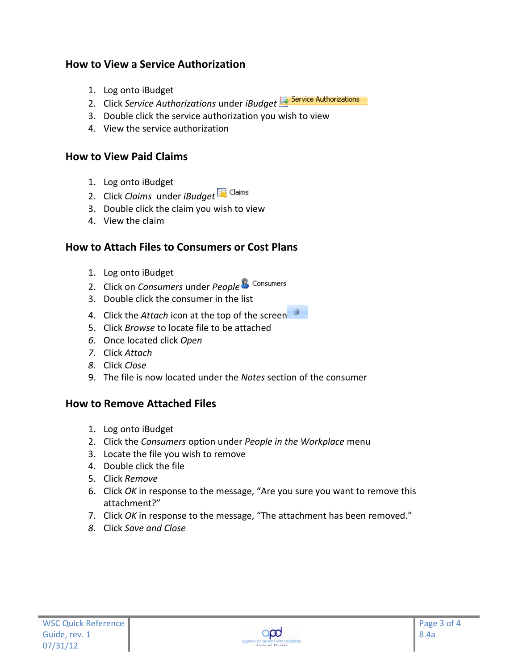# **How to View a Service Authorization**

- 1. Log onto iBudget
- 2. Click *Service Authorizations* under *iBudget*
- 3. Double click the service authorization you wish to view
- 4. View the service authorization

#### **How to View Paid Claims**

- 1. Log onto iBudget
- 2. Click *Claims* under *iBudget*
- 3. Double click the claim you wish to view
- 4. View the claim

## **How to Attach Files to Consumers or Cost Plans**

- 1. Log onto iBudget
- 2. Click on *Consumers* under *People*
- 3. Double click the consumer in the list
- 4. Click the *Attach* icon at the top of the screen
- 5. Click *Browse* to locate file to be attached
- *6.* Once located click *Open*
- *7.* Click *Attach*
- *8.* Click *Close*
- 9. The file is now located under the *Notes* section of the consumer

## **How to Remove Attached Files**

- 1. Log onto iBudget
- 2. Click the *Consumers* option under *People in the Workplace* menu
- 3. Locate the file you wish to remove
- 4. Double click the file
- 5. Click *Remove*
- 6. Click *OK* in response to the message, "Are you sure you want to remove this attachment?"
- 7. Click *OK* in response to the message, "The attachment has been removed."
- *8.* Click *Save and Close*